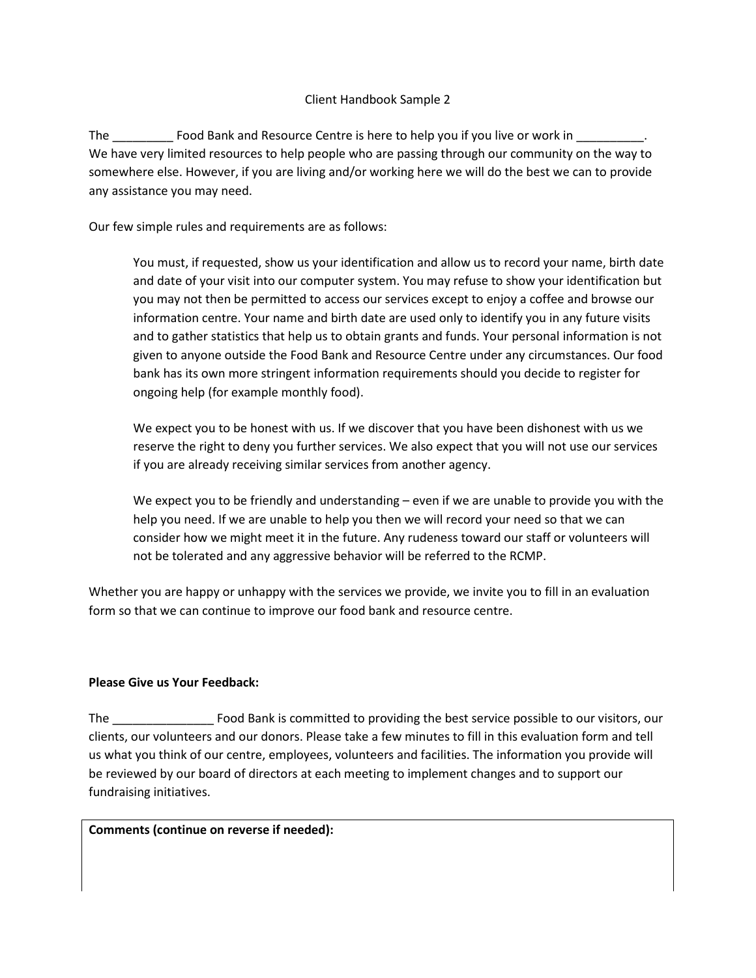## Client Handbook Sample 2

The \_\_\_\_\_\_\_\_\_\_\_\_ Food Bank and Resource Centre is here to help you if you live or work in \_\_\_\_\_\_\_\_\_\_. We have very limited resources to help people who are passing through our community on the way to somewhere else. However, if you are living and/or working here we will do the best we can to provide any assistance you may need.

Our few simple rules and requirements are as follows:

You must, if requested, show us your identification and allow us to record your name, birth date and date of your visit into our computer system. You may refuse to show your identification but you may not then be permitted to access our services except to enjoy a coffee and browse our information centre. Your name and birth date are used only to identify you in any future visits and to gather statistics that help us to obtain grants and funds. Your personal information is not given to anyone outside the Food Bank and Resource Centre under any circumstances. Our food bank has its own more stringent information requirements should you decide to register for ongoing help (for example monthly food).

We expect you to be honest with us. If we discover that you have been dishonest with us we reserve the right to deny you further services. We also expect that you will not use our services if you are already receiving similar services from another agency.

We expect you to be friendly and understanding – even if we are unable to provide you with the help you need. If we are unable to help you then we will record your need so that we can consider how we might meet it in the future. Any rudeness toward our staff or volunteers will not be tolerated and any aggressive behavior will be referred to the RCMP.

Whether you are happy or unhappy with the services we provide, we invite you to fill in an evaluation form so that we can continue to improve our food bank and resource centre.

## **Please Give us Your Feedback:**

The \_\_\_\_\_\_\_\_\_\_\_\_\_\_\_ Food Bank is committed to providing the best service possible to our visitors, our clients, our volunteers and our donors. Please take a few minutes to fill in this evaluation form and tell us what you think of our centre, employees, volunteers and facilities. The information you provide will be reviewed by our board of directors at each meeting to implement changes and to support our fundraising initiatives.

**Comments (continue on reverse if needed):**